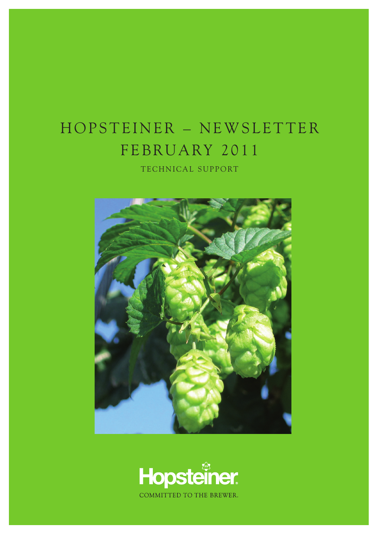## HOPSTEINER - NEWSLETTER FEBRUARY 2011

TECHNICAL SUPPORT